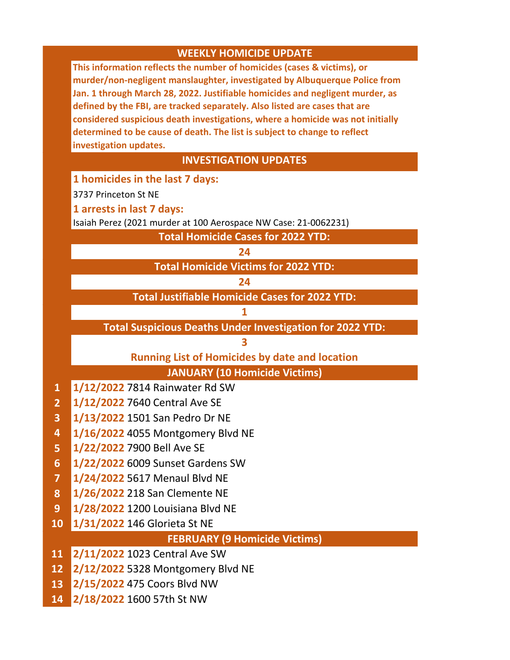| <b>WEEKLY HOMICIDE UPDATE</b>        |                                                                                                                                                             |
|--------------------------------------|-------------------------------------------------------------------------------------------------------------------------------------------------------------|
|                                      | This information reflects the number of homicides (cases & victims), or                                                                                     |
|                                      | murder/non-negligent manslaughter, investigated by Albuquerque Police from                                                                                  |
|                                      | Jan. 1 through March 28, 2022. Justifiable homicides and negligent murder, as<br>defined by the FBI, are tracked separately. Also listed are cases that are |
|                                      | considered suspicious death investigations, where a homicide was not initially                                                                              |
|                                      | determined to be cause of death. The list is subject to change to reflect                                                                                   |
|                                      | investigation updates.                                                                                                                                      |
|                                      | <b>INVESTIGATION UPDATES</b>                                                                                                                                |
|                                      | 1 homicides in the last 7 days:                                                                                                                             |
|                                      | 3737 Princeton St NE                                                                                                                                        |
|                                      | 1 arrests in last 7 days:                                                                                                                                   |
|                                      | Isaiah Perez (2021 murder at 100 Aerospace NW Case: 21-0062231)                                                                                             |
|                                      | <b>Total Homicide Cases for 2022 YTD:</b>                                                                                                                   |
|                                      | 24                                                                                                                                                          |
|                                      | <b>Total Homicide Victims for 2022 YTD:</b>                                                                                                                 |
|                                      | 24                                                                                                                                                          |
|                                      | <b>Total Justifiable Homicide Cases for 2022 YTD:</b>                                                                                                       |
|                                      | 1                                                                                                                                                           |
|                                      | <b>Total Suspicious Deaths Under Investigation for 2022 YTD:</b>                                                                                            |
|                                      | 3                                                                                                                                                           |
|                                      | <b>Running List of Homicides by date and location</b>                                                                                                       |
|                                      | <b>JANUARY (10 Homicide Victims)</b>                                                                                                                        |
| $\mathbf{1}$                         | 1/12/2022 7814 Rainwater Rd SW                                                                                                                              |
| $\overline{2}$                       | 1/12/2022 7640 Central Ave SE                                                                                                                               |
| 3                                    | 1/13/2022 1501 San Pedro Dr NE                                                                                                                              |
| 4                                    | 1/16/2022 4055 Montgomery Blvd NE                                                                                                                           |
| 5                                    | 1/22/2022 7900 Bell Ave SE                                                                                                                                  |
| 6                                    | 1/22/2022 6009 Sunset Gardens SW                                                                                                                            |
| $\overline{\mathbf{z}}$              | 1/24/2022 5617 Menaul Blvd NE                                                                                                                               |
| 8                                    | 1/26/2022 218 San Clemente NE                                                                                                                               |
| 9 <sup>°</sup>                       | 1/28/2022 1200 Louisiana Blvd NE                                                                                                                            |
| 10 <sup>°</sup>                      | 1/31/2022 146 Glorieta St NE                                                                                                                                |
| <b>FEBRUARY (9 Homicide Victims)</b> |                                                                                                                                                             |
| 11                                   | 2/11/2022 1023 Central Ave SW                                                                                                                               |
| 12                                   | 2/12/2022 5328 Montgomery Blvd NE                                                                                                                           |
| 13                                   | 2/15/2022 475 Coors Blvd NW                                                                                                                                 |
| 14                                   | 2/18/2022 1600 57th St NW                                                                                                                                   |